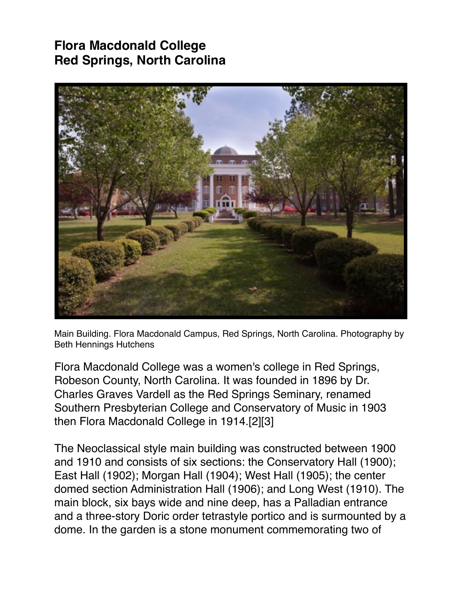## **Flora Macdonald College Red Springs, North Carolina**



Main Building. Flora Macdonald Campus, Red Springs, North Carolina. Photography by Beth Hennings Hutchens

Flora Macdonald College was a women's college in Red Springs, Robeson County, North Carolina. It was founded in 1896 by Dr. Charles Graves Vardell as the Red Springs Seminary, renamed Southern Presbyterian College and Conservatory of Music in 1903 then Flora Macdonald College in 1914.[2][3]

The Neoclassical style main building was constructed between 1900 and 1910 and consists of six sections: the Conservatory Hall (1900); East Hall (1902); Morgan Hall (1904); West Hall (1905); the center domed section Administration Hall (1906); and Long West (1910). The main block, six bays wide and nine deep, has a Palladian entrance and a three-story Doric order tetrastyle portico and is surmounted by a dome. In the garden is a stone monument commemorating two of